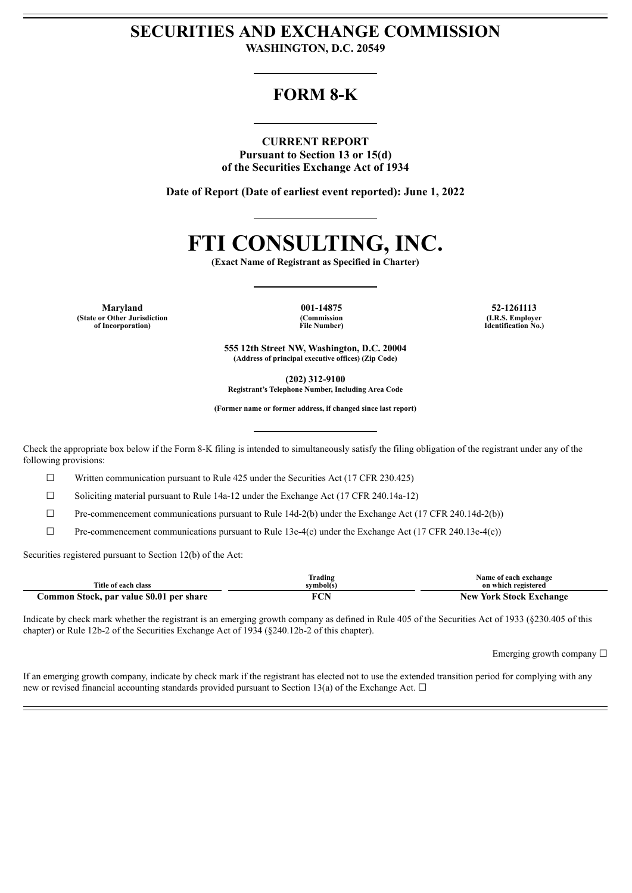## **SECURITIES AND EXCHANGE COMMISSION WASHINGTON, D.C. 20549**

# **FORM 8-K**

**CURRENT REPORT Pursuant to Section 13 or 15(d) of the Securities Exchange Act of 1934**

**Date of Report (Date of earliest event reported): June 1, 2022**

# **FTI CONSULTING, INC.**

**(Exact Name of Registrant as Specified in Charter)**

**Maryland 001-14875 52-1261113 (State or Other Jurisdiction of Incorporation)**

**(Commission File Number)**

**(I.R.S. Employer Identification No.)**

**555 12th Street NW, Washington, D.C. 20004 (Address of principal executive offices) (Zip Code)**

**(202) 312-9100**

**Registrant's Telephone Number, Including Area Code**

**(Former name or former address, if changed since last report)**

Check the appropriate box below if the Form 8-K filing is intended to simultaneously satisfy the filing obligation of the registrant under any of the following provisions:

 $\Box$  Written communication pursuant to Rule 425 under the Securities Act (17 CFR 230.425)

☐ Soliciting material pursuant to Rule 14a-12 under the Exchange Act (17 CFR 240.14a-12)

 $\Box$  Pre-commencement communications pursuant to Rule 14d-2(b) under the Exchange Act (17 CFR 240.14d-2(b))

 $\Box$  Pre-commencement communications pursuant to Rule 13e-4(c) under the Exchange Act (17 CFR 240.13e-4(c))

Securities registered pursuant to Section 12(b) of the Act:

|                                          | Trading   | Name of each exchange          |
|------------------------------------------|-----------|--------------------------------|
| Title of each class                      | symbol(s) | on which registered            |
| Common Stock, par value \$0.01 per share | RAN<br>◡  | <b>New York Stock Exchange</b> |

Indicate by check mark whether the registrant is an emerging growth company as defined in Rule 405 of the Securities Act of 1933 (§230.405 of this chapter) or Rule 12b-2 of the Securities Exchange Act of 1934 (§240.12b-2 of this chapter).

Emerging growth company  $\Box$ 

If an emerging growth company, indicate by check mark if the registrant has elected not to use the extended transition period for complying with any new or revised financial accounting standards provided pursuant to Section 13(a) of the Exchange Act.  $\Box$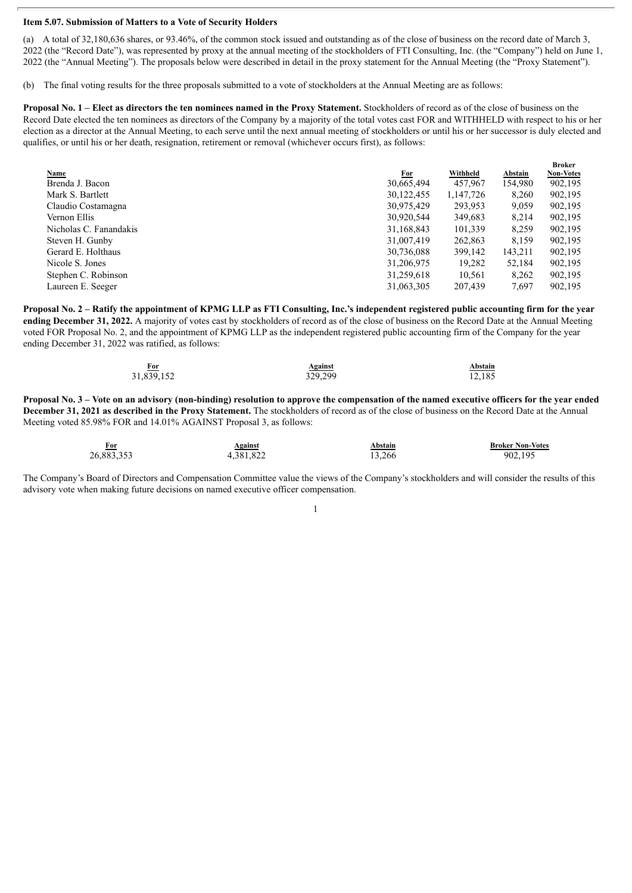#### **Item 5.07. Submission of Matters to a Vote of Security Holders**

(a) A total of 32,180,636 shares, or 93.46%, of the common stock issued and outstanding as of the close of business on the record date of March 3, 2022 (the "Record Date"), was represented by proxy at the annual meeting of the stockholders of FTI Consulting, Inc. (the "Company") held on June 1, 2022 (the "Annual Meeting"). The proposals below were described in detail in the proxy statement for the Annual Meeting (the "Proxy Statement").

(b) The final voting results for the three proposals submitted to a vote of stockholders at the Annual Meeting are as follows:

**Proposal No. 1 – Elect as directors the ten nominees named in the Proxy Statement.** Stockholders of record as of the close of business on the Record Date elected the ten nominees as directors of the Company by a majority of the total votes cast FOR and WITHHELD with respect to his or her election as a director at the Annual Meeting, to each serve until the next annual meeting of stockholders or until his or her successor is duly elected and qualifies, or until his or her death, resignation, retirement or removal (whichever occurs first), as follows:

|                        |            |           |         | <b>Broker</b>    |
|------------------------|------------|-----------|---------|------------------|
| <b>Name</b>            | <u>For</u> | Withheld  | Abstain | <b>Non-Votes</b> |
| Brenda J. Bacon        | 30,665,494 | 457,967   | 154,980 | 902,195          |
| Mark S. Bartlett       | 30,122,455 | 1,147,726 | 8,260   | 902,195          |
| Claudio Costamagna     | 30,975,429 | 293,953   | 9,059   | 902,195          |
| Vernon Ellis           | 30,920,544 | 349,683   | 8,214   | 902,195          |
| Nicholas C. Fanandakis | 31,168,843 | 101,339   | 8,259   | 902,195          |
| Steven H. Gunby        | 31,007,419 | 262,863   | 8,159   | 902,195          |
| Gerard E. Holthaus     | 30,736,088 | 399,142   | 143,211 | 902,195          |
| Nicole S. Jones        | 31,206,975 | 19,282    | 52,184  | 902,195          |
| Stephen C. Robinson    | 31,259,618 | 10,561    | 8,262   | 902,195          |
| Laureen E. Seeger      | 31,063,305 | 207.439   | 7,697   | 902.195          |

Proposal No. 2 – Ratify the appointment of KPMG LLP as FTI Consulting, Inc.'s independent registered public accounting firm for the year **ending December 31, 2022.** A majority of votes cast by stockholders of record as of the close of business on the Record Date at the Annual Meeting voted FOR Proposal No. 2, and the appointment of KPMG LLP as the independent registered public accounting firm of the Company for the year ending December 31, 2022 was ratified, as follows:

| For<br>$\sim$ $\sim$ | <b>Against</b> | Abstain<br>_____ |
|----------------------|----------------|------------------|
| 31,839,152           | 329,299        | 12,185           |
|                      |                |                  |

Proposal No. 3 – Vote on an advisory (non-binding) resolution to approve the compensation of the named executive officers for the vear ended **December 31, 2021 as described in the Proxy Statement.** The stockholders of record as of the close of business on the Record Date at the Annual Meeting voted 85.98% FOR and 14.01% AGAINST Proposal 3, as follows:

| <u>For</u> | Against   | Abstain | <b>Broker Non-Votes</b> |
|------------|-----------|---------|-------------------------|
| 26,883,353 | 4,381,822 | 13.266  | 902.195                 |

The Company's Board of Directors and Compensation Committee value the views of the Company's stockholders and will consider the results of this advisory vote when making future decisions on named executive officer compensation.

1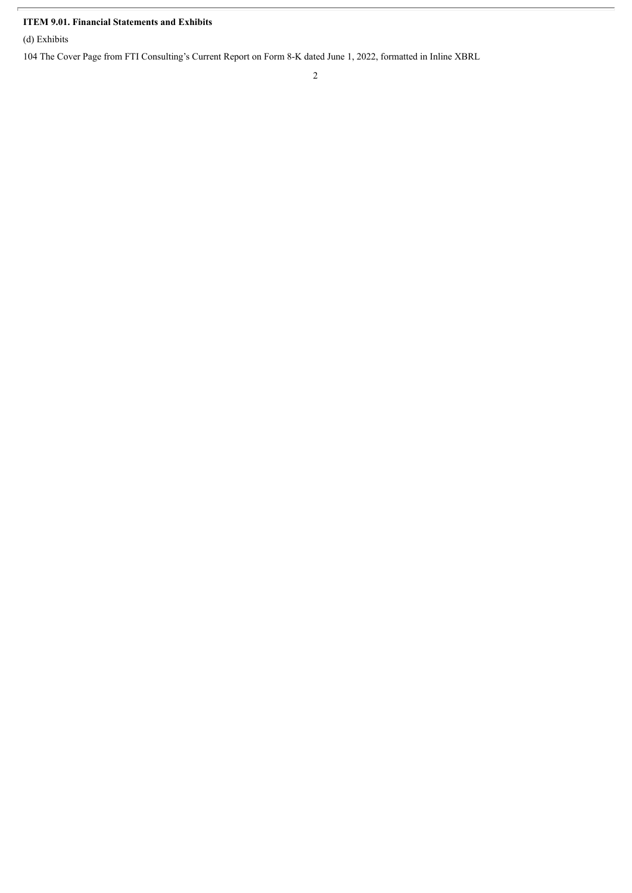### **ITEM 9.01. Financial Statements and Exhibits**

(d) Exhibits

104 The Cover Page from FTI Consulting's Current Report on Form 8-K dated June 1, 2022, formatted in Inline XBRL